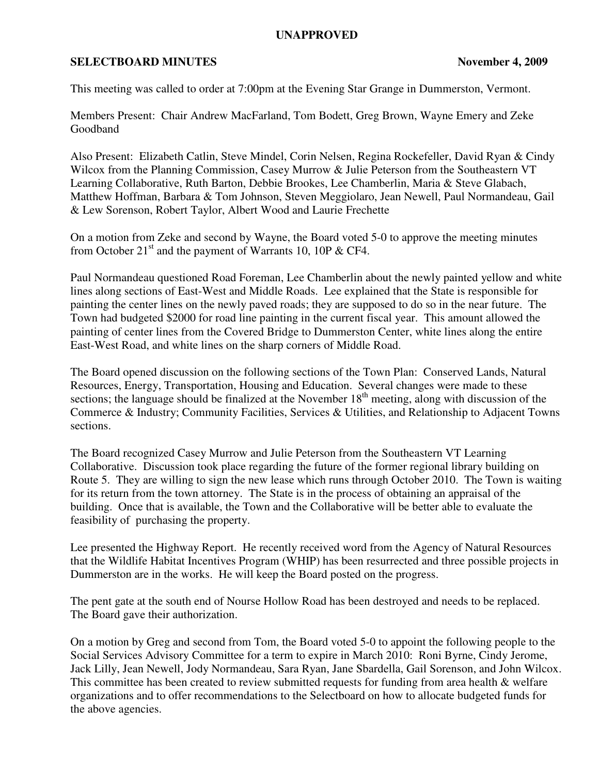## **UNAPPROVED**

## **SELECTBOARD MINUTES** November 4, 2009

This meeting was called to order at 7:00pm at the Evening Star Grange in Dummerston, Vermont.

Members Present: Chair Andrew MacFarland, Tom Bodett, Greg Brown, Wayne Emery and Zeke Goodband

Also Present: Elizabeth Catlin, Steve Mindel, Corin Nelsen, Regina Rockefeller, David Ryan & Cindy Wilcox from the Planning Commission, Casey Murrow & Julie Peterson from the Southeastern VT Learning Collaborative, Ruth Barton, Debbie Brookes, Lee Chamberlin, Maria & Steve Glabach, Matthew Hoffman, Barbara & Tom Johnson, Steven Meggiolaro, Jean Newell, Paul Normandeau, Gail & Lew Sorenson, Robert Taylor, Albert Wood and Laurie Frechette

On a motion from Zeke and second by Wayne, the Board voted 5-0 to approve the meeting minutes from October  $21<sup>st</sup>$  and the payment of Warrants 10, 10P & CF4.

Paul Normandeau questioned Road Foreman, Lee Chamberlin about the newly painted yellow and white lines along sections of East-West and Middle Roads. Lee explained that the State is responsible for painting the center lines on the newly paved roads; they are supposed to do so in the near future. The Town had budgeted \$2000 for road line painting in the current fiscal year. This amount allowed the painting of center lines from the Covered Bridge to Dummerston Center, white lines along the entire East-West Road, and white lines on the sharp corners of Middle Road.

The Board opened discussion on the following sections of the Town Plan: Conserved Lands, Natural Resources, Energy, Transportation, Housing and Education. Several changes were made to these sections; the language should be finalized at the November  $18<sup>th</sup>$  meeting, along with discussion of the Commerce & Industry; Community Facilities, Services & Utilities, and Relationship to Adjacent Towns sections.

The Board recognized Casey Murrow and Julie Peterson from the Southeastern VT Learning Collaborative. Discussion took place regarding the future of the former regional library building on Route 5. They are willing to sign the new lease which runs through October 2010. The Town is waiting for its return from the town attorney. The State is in the process of obtaining an appraisal of the building. Once that is available, the Town and the Collaborative will be better able to evaluate the feasibility of purchasing the property.

Lee presented the Highway Report. He recently received word from the Agency of Natural Resources that the Wildlife Habitat Incentives Program (WHIP) has been resurrected and three possible projects in Dummerston are in the works. He will keep the Board posted on the progress.

The pent gate at the south end of Nourse Hollow Road has been destroyed and needs to be replaced. The Board gave their authorization.

On a motion by Greg and second from Tom, the Board voted 5-0 to appoint the following people to the Social Services Advisory Committee for a term to expire in March 2010: Roni Byrne, Cindy Jerome, Jack Lilly, Jean Newell, Jody Normandeau, Sara Ryan, Jane Sbardella, Gail Sorenson, and John Wilcox. This committee has been created to review submitted requests for funding from area health & welfare organizations and to offer recommendations to the Selectboard on how to allocate budgeted funds for the above agencies.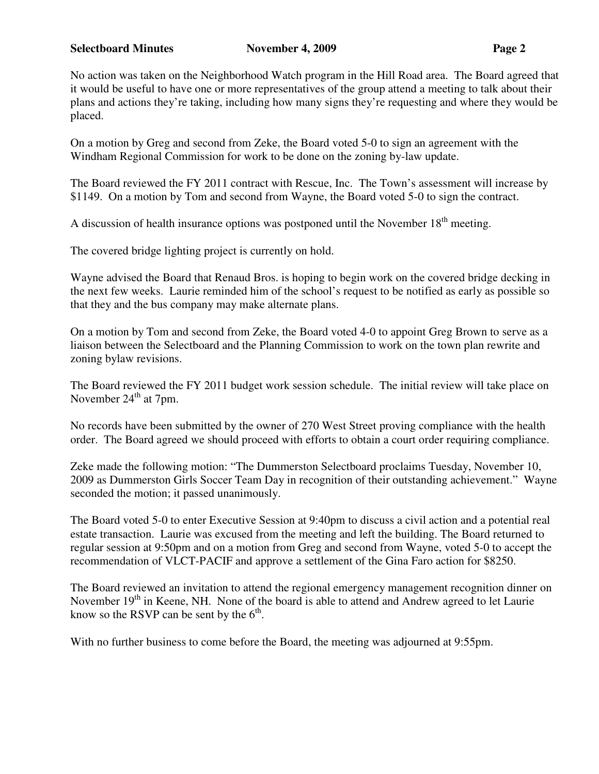## **Selectboard Minutes November 4, 2009 Page 2**

No action was taken on the Neighborhood Watch program in the Hill Road area. The Board agreed that it would be useful to have one or more representatives of the group attend a meeting to talk about their plans and actions they're taking, including how many signs they're requesting and where they would be placed.

On a motion by Greg and second from Zeke, the Board voted 5-0 to sign an agreement with the Windham Regional Commission for work to be done on the zoning by-law update.

The Board reviewed the FY 2011 contract with Rescue, Inc. The Town's assessment will increase by \$1149. On a motion by Tom and second from Wayne, the Board voted 5-0 to sign the contract.

A discussion of health insurance options was postponed until the November  $18<sup>th</sup>$  meeting.

The covered bridge lighting project is currently on hold.

Wayne advised the Board that Renaud Bros. is hoping to begin work on the covered bridge decking in the next few weeks. Laurie reminded him of the school's request to be notified as early as possible so that they and the bus company may make alternate plans.

On a motion by Tom and second from Zeke, the Board voted 4-0 to appoint Greg Brown to serve as a liaison between the Selectboard and the Planning Commission to work on the town plan rewrite and zoning bylaw revisions.

The Board reviewed the FY 2011 budget work session schedule. The initial review will take place on November  $24<sup>th</sup>$  at 7pm.

No records have been submitted by the owner of 270 West Street proving compliance with the health order. The Board agreed we should proceed with efforts to obtain a court order requiring compliance.

Zeke made the following motion: "The Dummerston Selectboard proclaims Tuesday, November 10, 2009 as Dummerston Girls Soccer Team Day in recognition of their outstanding achievement." Wayne seconded the motion; it passed unanimously.

The Board voted 5-0 to enter Executive Session at 9:40pm to discuss a civil action and a potential real estate transaction. Laurie was excused from the meeting and left the building. The Board returned to regular session at 9:50pm and on a motion from Greg and second from Wayne, voted 5-0 to accept the recommendation of VLCT-PACIF and approve a settlement of the Gina Faro action for \$8250.

The Board reviewed an invitation to attend the regional emergency management recognition dinner on November  $19<sup>th</sup>$  in Keene, NH. None of the board is able to attend and Andrew agreed to let Laurie know so the RSVP can be sent by the  $6<sup>th</sup>$ .

With no further business to come before the Board, the meeting was adjourned at 9:55pm.